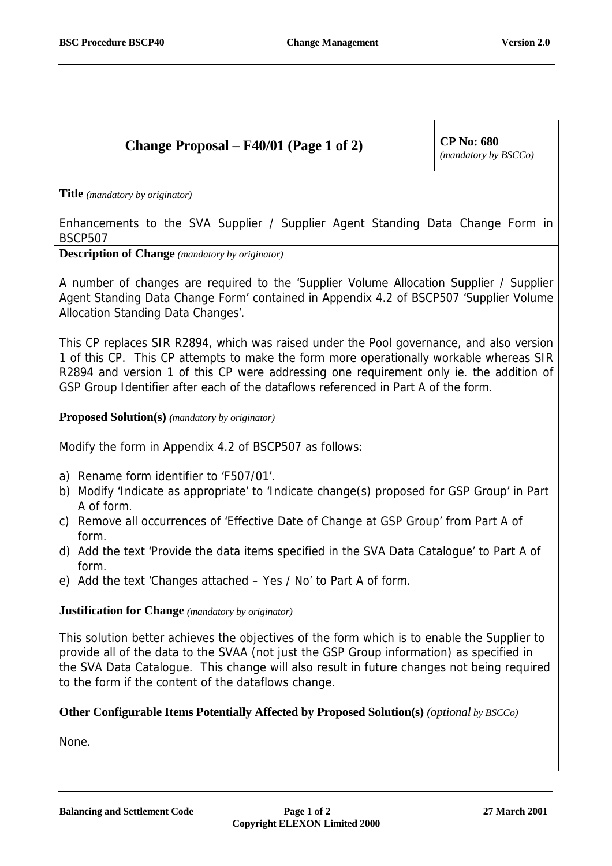## **Change Proposal – F40/01 (Page 1 of 2)**  $\vert$  CP No: 680

*(mandatory by BSCCo)*

**Title** *(mandatory by originator)* 

Enhancements to the SVA Supplier / Supplier Agent Standing Data Change Form in BSCP507

**Description of Change** *(mandatory by originator)*

A number of changes are required to the 'Supplier Volume Allocation Supplier / Supplier Agent Standing Data Change Form' contained in Appendix 4.2 of BSCP507 'Supplier Volume Allocation Standing Data Changes'.

This CP replaces SIR R2894, which was raised under the Pool governance, and also version 1 of this CP. This CP attempts to make the form more operationally workable whereas SIR R2894 and version 1 of this CP were addressing one requirement only ie. the addition of GSP Group Identifier after each of the dataflows referenced in Part A of the form.

**Proposed Solution(s)** *(mandatory by originator)*

Modify the form in Appendix 4.2 of BSCP507 as follows:

- a) Rename form identifier to 'F507/01'.
- b) Modify 'Indicate as appropriate' to 'Indicate change(s) proposed for GSP Group' in Part A of form.
- c) Remove all occurrences of 'Effective Date of Change at GSP Group' from Part A of form.
- d) Add the text 'Provide the data items specified in the SVA Data Catalogue' to Part A of form.
- e) Add the text 'Changes attached Yes / No' to Part A of form.

**Justification for Change** *(mandatory by originator)*

This solution better achieves the objectives of the form which is to enable the Supplier to provide all of the data to the SVAA (not just the GSP Group information) as specified in the SVA Data Catalogue. This change will also result in future changes not being required to the form if the content of the dataflows change.

**Other Configurable Items Potentially Affected by Proposed Solution(s)** *(optional by BSCCo)*

None.